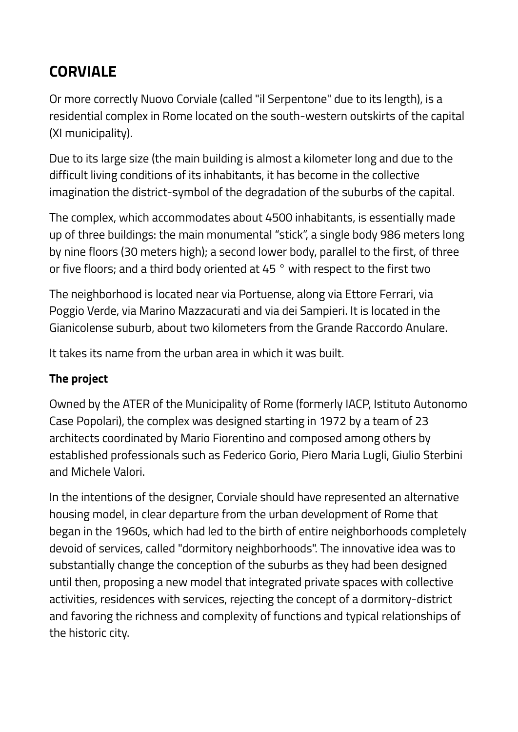# **CORVIALE**

Or more correctly Nuovo Corviale (called "il Serpentone" due to its length), is a residential complex in Rome located on the south-western outskirts of the capital (XI municipality).

Due to its large size (the main building is almost a kilometer long and due to the difficult living conditions of its inhabitants, it has become in the collective imagination the district-symbol of the degradation of the suburbs of the capital.

The complex, which accommodates about 4500 inhabitants, is essentially made up of three buildings: the main monumental "stick", a single body 986 meters long by nine floors (30 meters high); a second lower body, parallel to the first, of three or five floors; and a third body oriented at 45 ° with respect to the first two

The neighborhood is located near via Portuense, along via Ettore Ferrari, via Poggio Verde, via Marino Mazzacurati and via dei Sampieri. It is located in the Gianicolense suburb, about two kilometers from the Grande Raccordo Anulare.

It takes its name from the urban area in which it was built.

## **The project**

Owned by the ATER of the Municipality of Rome (formerly IACP, Istituto Autonomo Case Popolari), the complex was designed starting in 1972 by a team of 23 architects coordinated by Mario Fiorentino and composed among others by established professionals such as Federico Gorio, Piero Maria Lugli, Giulio Sterbini and Michele Valori.

In the intentions of the designer, Corviale should have represented an alternative housing model, in clear departure from the urban development of Rome that began in the 1960s, which had led to the birth of entire neighborhoods completely devoid of services, called "dormitory neighborhoods". The innovative idea was to substantially change the conception of the suburbs as they had been designed until then, proposing a new model that integrated private spaces with collective activities, residences with services, rejecting the concept of a dormitory-district and favoring the richness and complexity of functions and typical relationships of the historic city.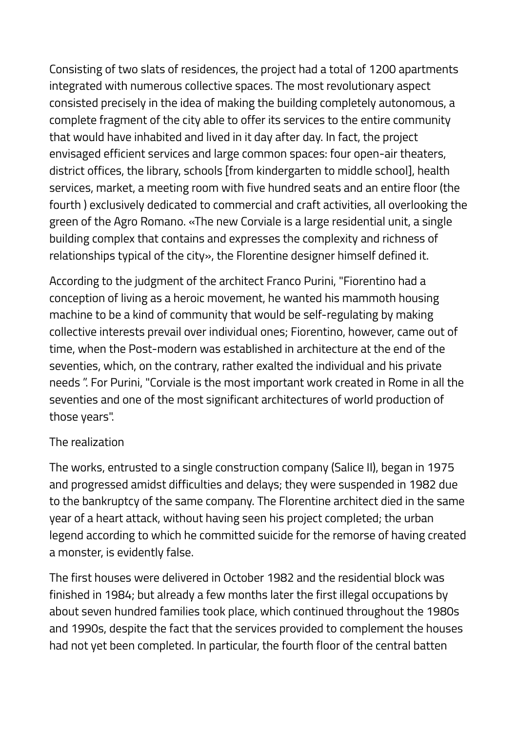Consisting of two slats of residences, the project had a total of 1200 apartments integrated with numerous collective spaces. The most revolutionary aspect consisted precisely in the idea of making the building completely autonomous, a complete fragment of the city able to offer its services to the entire community that would have inhabited and lived in it day after day. In fact, the project envisaged efficient services and large common spaces: four open-air theaters, district offices, the library, schools [from kindergarten to middle school], health services, market, a meeting room with five hundred seats and an entire floor (the fourth ) exclusively dedicated to commercial and craft activities, all overlooking the green of the Agro Romano. «The new Corviale is a large residential unit, a single building complex that contains and expresses the complexity and richness of relationships typical of the city», the Florentine designer himself defined it.

According to the judgment of the architect Franco Purini, "Fiorentino had a conception of living as a heroic movement, he wanted his mammoth housing machine to be a kind of community that would be self-regulating by making collective interests prevail over individual ones; Fiorentino, however, came out of time, when the Post-modern was established in architecture at the end of the seventies, which, on the contrary, rather exalted the individual and his private needs ". For Purini, "Corviale is the most important work created in Rome in all the seventies and one of the most significant architectures of world production of those years".

### The realization

The works, entrusted to a single construction company (Salice II), began in 1975 and progressed amidst difficulties and delays; they were suspended in 1982 due to the bankruptcy of the same company. The Florentine architect died in the same year of a heart attack, without having seen his project completed; the urban legend according to which he committed suicide for the remorse of having created a monster, is evidently false.

The first houses were delivered in October 1982 and the residential block was finished in 1984; but already a few months later the first illegal occupations by about seven hundred families took place, which continued throughout the 1980s and 1990s, despite the fact that the services provided to complement the houses had not yet been completed. In particular, the fourth floor of the central batten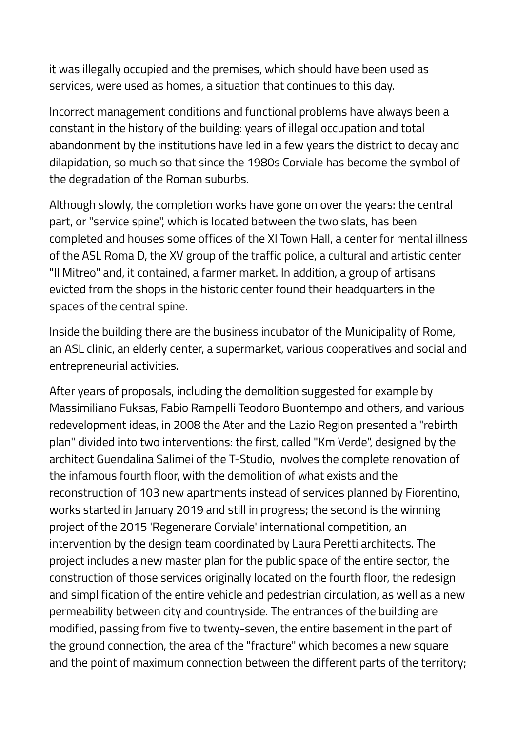it was illegally occupied and the premises, which should have been used as services, were used as homes, a situation that continues to this day.

Incorrect management conditions and functional problems have always been a constant in the history of the building: years of illegal occupation and total abandonment by the institutions have led in a few years the district to decay and dilapidation, so much so that since the 1980s Corviale has become the symbol of the degradation of the Roman suburbs.

Although slowly, the completion works have gone on over the years: the central part, or "service spine", which is located between the two slats, has been completed and houses some offices of the XI Town Hall, a center for mental illness of the ASL Roma D, the XV group of the traffic police, a cultural and artistic center "Il Mitreo" and, it contained, a farmer market. In addition, a group of artisans evicted from the shops in the historic center found their headquarters in the spaces of the central spine.

Inside the building there are the business incubator of the Municipality of Rome, an ASL clinic, an elderly center, a supermarket, various cooperatives and social and entrepreneurial activities.

After years of proposals, including the demolition suggested for example by Massimiliano Fuksas, Fabio Rampelli Teodoro Buontempo and others, and various redevelopment ideas, in 2008 the Ater and the Lazio Region presented a "rebirth plan" divided into two interventions: the first, called "Km Verde", designed by the architect Guendalina Salimei of the T-Studio, involves the complete renovation of the infamous fourth floor, with the demolition of what exists and the reconstruction of 103 new apartments instead of services planned by Fiorentino, works started in January 2019 and still in progress; the second is the winning project of the 2015 'Regenerare Corviale' international competition, an intervention by the design team coordinated by Laura Peretti architects. The project includes a new master plan for the public space of the entire sector, the construction of those services originally located on the fourth floor, the redesign and simplification of the entire vehicle and pedestrian circulation, as well as a new permeability between city and countryside. The entrances of the building are modified, passing from five to twenty-seven, the entire basement in the part of the ground connection, the area of the "fracture" which becomes a new square and the point of maximum connection between the different parts of the territory;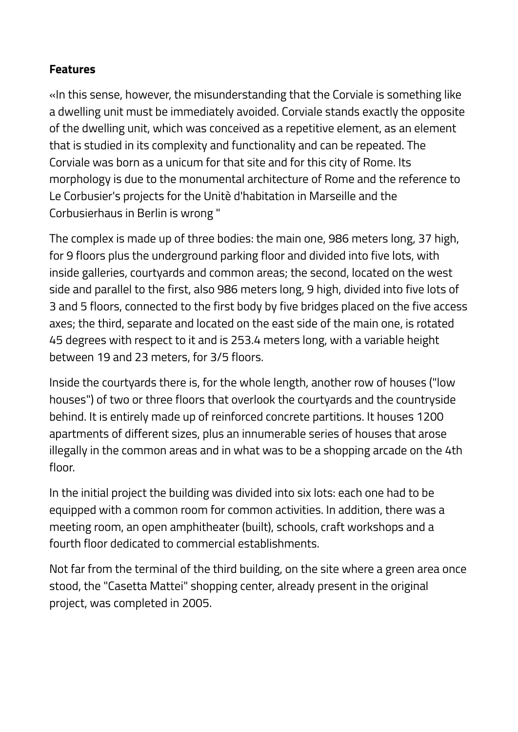#### **Features**

«In this sense, however, the misunderstanding that the Corviale is something like a dwelling unit must be immediately avoided. Corviale stands exactly the opposite of the dwelling unit, which was conceived as a repetitive element, as an element that is studied in its complexity and functionality and can be repeated. The Corviale was born as a unicum for that site and for this city of Rome. Its morphology is due to the monumental architecture of Rome and the reference to Le Corbusier's projects for the Unitè d'habitation in Marseille and the Corbusierhaus in Berlin is wrong "

The complex is made up of three bodies: the main one, 986 meters long, 37 high, for 9 floors plus the underground parking floor and divided into five lots, with inside galleries, courtyards and common areas; the second, located on the west side and parallel to the first, also 986 meters long, 9 high, divided into five lots of 3 and 5 floors, connected to the first body by five bridges placed on the five access axes; the third, separate and located on the east side of the main one, is rotated 45 degrees with respect to it and is 253.4 meters long, with a variable height between 19 and 23 meters, for 3/5 floors.

Inside the courtyards there is, for the whole length, another row of houses ("low houses") of two or three floors that overlook the courtyards and the countryside behind. It is entirely made up of reinforced concrete partitions. It houses 1200 apartments of different sizes, plus an innumerable series of houses that arose illegally in the common areas and in what was to be a shopping arcade on the 4th floor.

In the initial project the building was divided into six lots: each one had to be equipped with a common room for common activities. In addition, there was a meeting room, an open amphitheater (built), schools, craft workshops and a fourth floor dedicated to commercial establishments.

Not far from the terminal of the third building, on the site where a green area once stood, the "Casetta Mattei" shopping center, already present in the original project, was completed in 2005.